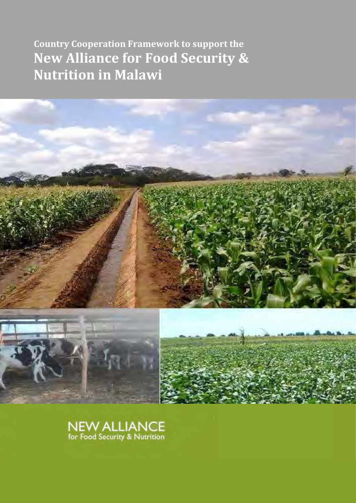**Country Cooperation Framework to support the New Alliance for Food Security & Nutrition in Malawi** 



**NEW ALLIANCE** for Food Security & Nutrition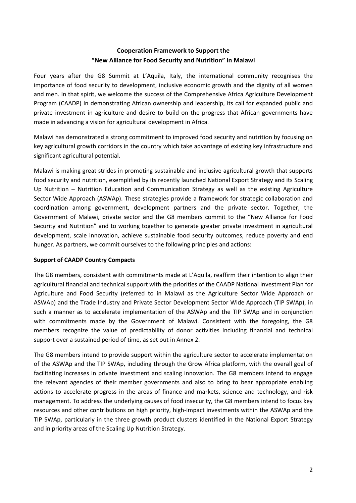# **Cooperation Framework to Support the "New Alliance for Food Security and Nutrition" in Malawi**

Four years after the G8 Summit at L'Aquila, Italy, the international community recognises the importance of food security to development, inclusive economic growth and the dignity of all women and men. In that spirit, we welcome the success of the Comprehensive Africa Agriculture Development Program (CAADP) in demonstrating African ownership and leadership, its call for expanded public and private investment in agriculture and desire to build on the progress that African governments have made in advancing a vision for agricultural development in Africa.

Malawi has demonstrated a strong commitment to improved food security and nutrition by focusing on key agricultural growth corridors in the country which take advantage of existing key infrastructure and significant agricultural potential.

Malawi is making great strides in promoting sustainable and inclusive agricultural growth that supports food security and nutrition, exemplified by its recently launched National Export Strategy and its Scaling Up Nutrition – Nutrition Education and Communication Strategy as well as the existing Agriculture Sector Wide Approach (ASWAp). These strategies provide a framework for strategic collaboration and coordination among government, development partners and the private sector. Together, the Government of Malawi, private sector and the G8 members commit to the "New Alliance for Food Security and Nutrition" and to working together to generate greater private investment in agricultural development, scale innovation, achieve sustainable food security outcomes, reduce poverty and end hunger. As partners, we commit ourselves to the following principles and actions:

### **Support of CAADP Country Compacts**

The G8 members, consistent with commitments made at L'Aquila, reaffirm their intention to align their agricultural financial and technical support with the priorities of the CAADP National Investment Plan for Agriculture and Food Security (referred to in Malawi as the Agriculture Sector Wide Approach or ASWAp) and the Trade Industry and Private Sector Development Sector Wide Approach (TIP SWAp), in such a manner as to accelerate implementation of the ASWAp and the TIP SWAp and in conjunction with commitments made by the Government of Malawi. Consistent with the foregoing, the G8 members recognize the value of predictability of donor activities including financial and technical support over a sustained period of time, as set out in Annex 2.

The G8 members intend to provide support within the agriculture sector to accelerate implementation of the ASWAp and the TIP SWAp, including through the Grow Africa platform, with the overall goal of facilitating increases in private investment and scaling innovation. The G8 members intend to engage the relevant agencies of their member governments and also to bring to bear appropriate enabling actions to accelerate progress in the areas of finance and markets, science and technology, and risk management. To address the underlying causes of food insecurity, the G8 members intend to focus key resources and other contributions on high priority, high-impact investments within the ASWAp and the TIP SWAp, particularly in the three growth product clusters identified in the National Export Strategy and in priority areas of the Scaling Up Nutrition Strategy.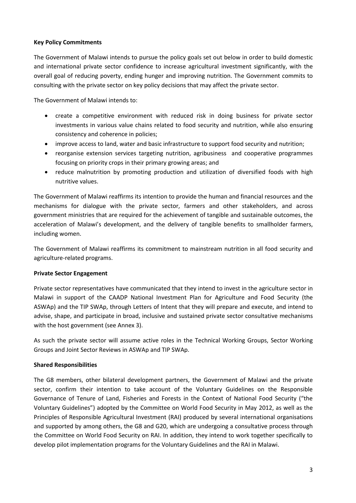# **Key Policy Commitments**

The Government of Malawi intends to pursue the policy goals set out below in order to build domestic and international private sector confidence to increase agricultural investment significantly, with the overall goal of reducing poverty, ending hunger and improving nutrition. The Government commits to consulting with the private sector on key policy decisions that may affect the private sector.

The Government of Malawi intends to:

- create a competitive environment with reduced risk in doing business for private sector investments in various value chains related to food security and nutrition, while also ensuring consistency and coherence in policies;
- improve access to land, water and basic infrastructure to support food security and nutrition;
- reorganise extension services targeting nutrition, agribusiness and cooperative programmes focusing on priority crops in their primary growing areas; and
- reduce malnutrition by promoting production and utilization of diversified foods with high nutritive values.

The Government of Malawi reaffirms its intention to provide the human and financial resources and the mechanisms for dialogue with the private sector, farmers and other stakeholders, and across government ministries that are required for the achievement of tangible and sustainable outcomes, the acceleration of Malawi's development, and the delivery of tangible benefits to smallholder farmers, including women.

The Government of Malawi reaffirms its commitment to mainstream nutrition in all food security and agriculture-related programs.

# **Private Sector Engagement**

Private sector representatives have communicated that they intend to invest in the agriculture sector in Malawi in support of the CAADP National Investment Plan for Agriculture and Food Security (the ASWAp) and the TIP SWAp, through Letters of Intent that they will prepare and execute, and intend to advise, shape, and participate in broad, inclusive and sustained private sector consultative mechanisms with the host government (see Annex 3).

As such the private sector will assume active roles in the Technical Working Groups, Sector Working Groups and Joint Sector Reviews in ASWAp and TIP SWAp.

### **Shared Responsibilities**

The G8 members, other bilateral development partners, the Government of Malawi and the private sector, confirm their intention to take account of the Voluntary Guidelines on the Responsible Governance of Tenure of Land, Fisheries and Forests in the Context of National Food Security ("the Voluntary Guidelines") adopted by the Committee on World Food Security in May 2012, as well as the Principles of Responsible Agricultural Investment (RAI) produced by several international organisations and supported by among others, the G8 and G20, which are undergoing a consultative process through the Committee on World Food Security on RAI. In addition, they intend to work together specifically to develop pilot implementation programs for the Voluntary Guidelines and the RAI in Malawi.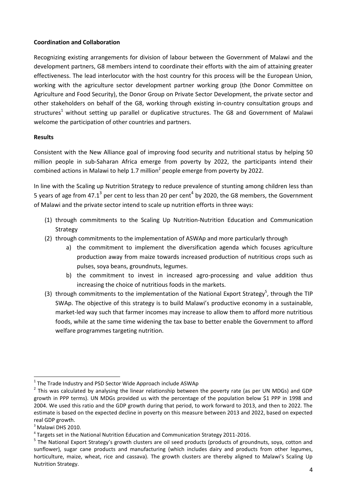# **Coordination and Collaboration**

Recognizing existing arrangements for division of labour between the Government of Malawi and the development partners, G8 members intend to coordinate their efforts with the aim of attaining greater effectiveness. The lead interlocutor with the host country for this process will be the European Union, working with the agriculture sector development partner working group (the Donor Committee on Agriculture and Food Security), the Donor Group on Private Sector Development, the private sector and other stakeholders on behalf of the G8, working through existing in-country consultation groups and structures<sup>1</sup> without setting up parallel or duplicative structures. The G8 and Government of Malawi welcome the participation of other countries and partners.

### **Results**

Consistent with the New Alliance goal of improving food security and nutritional status by helping 50 million people in sub-Saharan Africa emerge from poverty by 2022, the participants intend their combined actions in Malawi to help 1.7 million<sup>2</sup> people emerge from poverty by 2022.

In line with the Scaling up Nutrition Strategy to reduce prevalence of stunting among children less than 5 years of age from 47.1<sup>3</sup> per cent to less than 20 per cent<sup>4</sup> by 2020, the G8 members, the Government of Malawi and the private sector intend to scale up nutrition efforts in three ways:

- (1) through commitments to the Scaling Up Nutrition-Nutrition Education and Communication Strategy
- (2) through commitments to the implementation of ASWAp and more particularly through
	- a) the commitment to implement the diversification agenda which focuses agriculture production away from maize towards increased production of nutritious crops such as pulses, soya beans, groundnuts, legumes.
	- b) the commitment to invest in increased agro-processing and value addition thus increasing the choice of nutritious foods in the markets.
- (3) through commitments to the implementation of the National Export Strategy<sup>5</sup>, through the TIP SWAp. The objective of this strategy is to build Malawi's productive economy in a sustainable, market-led way such that farmer incomes may increase to allow them to afford more nutritious foods, while at the same time widening the tax base to better enable the Government to afford welfare programmes targeting nutrition.

.<br>-

 $1$  The Trade Industry and PSD Sector Wide Approach include ASWAp

 $^2$  This was calculated by analysing the linear relationship between the poverty rate (as per UN MDGs) and GDP growth in PPP terms). UN MDGs provided us with the percentage of the population below \$1 PPP in 1998 and 2004. We used this ratio and the GDP growth during that period, to work forward to 2013, and then to 2022. The estimate is based on the expected decline in poverty on this measure between 2013 and 2022, based on expected real GDP growth.

 $3$  Malawi DHS 2010.

<sup>&</sup>lt;sup>4</sup> Targets set in the National Nutrition Education and Communication Strategy 2011-2016.

<sup>&</sup>lt;sup>5</sup> The National Export Strategy's growth clusters are oil seed products (products of groundnuts, soya, cotton and sunflower), sugar cane products and manufacturing (which includes dairy and products from other legumes, horticulture, maize, wheat, rice and cassava). The growth clusters are thereby aligned to Malawi's Scaling Up Nutrition Strategy.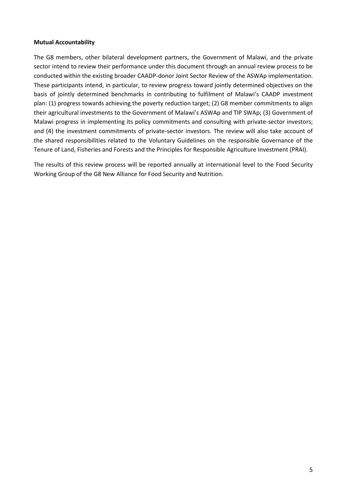### **Mutual Accountability**

The G8 members, other bilateral development partners, the Government of Malawi, and the private sector intend to review their performance under this document through an annual review process to be conducted within the existing broader CAADP-donor Joint Sector Review of the ASWAp implementation. These participants intend, in particular, to review progress toward jointly determined objectives on the basis of jointly determined benchmarks in contributing to fulfilment of Malawi's CAADP investment plan: (1) progress towards achieving the poverty reduction target; (2) G8 member commitments to align their agricultural investments to the Government of Malawi's ASWAp and TIP SWAp; (3) Government of Malawi progress in implementing its policy commitments and consulting with private-sector investors; and (4) the investment commitments of private-sector investors. The review will also take account of the shared responsibilities related to the Voluntary Guidelines on the responsible Governance of the Tenure of Land, Fisheries and Forests and the Principles for Responsible Agriculture Investment (PRAI).

The results of this review process will be reported annually at international level to the Food Security Working Group of the G8 New Alliance for Food Security and Nutrition.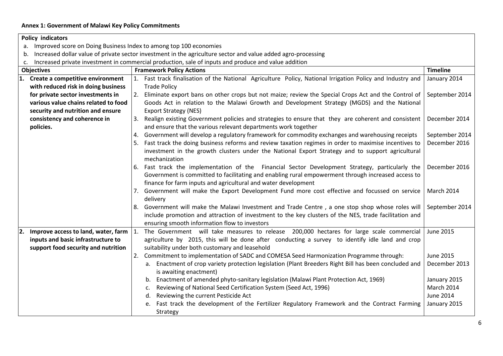# **Annex 1: Government of Malawi Key Policy Commitments**

### **Policy indicators**

- a. Improved score on Doing Business Index to among top 100 economies
- b. Increased dollar value of private sector investment in the agriculture sector and value added agro-processing
- c. Increased private investment in commercial production, sale of inputs and produce and value addition

| <b>Objectives</b> |                                                   | <b>Framework Policy Actions</b> |                                                                                                                                                                                                                                                         |                  |  |
|-------------------|---------------------------------------------------|---------------------------------|---------------------------------------------------------------------------------------------------------------------------------------------------------------------------------------------------------------------------------------------------------|------------------|--|
|                   | 1. Create a competitive environment               |                                 | Fast track finalisation of the National Agriculture Policy, National Irrigation Policy and Industry and<br>January 2014                                                                                                                                 |                  |  |
|                   | with reduced risk in doing business               |                                 | <b>Trade Policy</b>                                                                                                                                                                                                                                     |                  |  |
|                   | for private sector investments in                 | 2.                              | Eliminate export bans on other crops but not maize; review the Special Crops Act and the Control of                                                                                                                                                     | September 2014   |  |
|                   | various value chains related to food              |                                 | Goods Act in relation to the Malawi Growth and Development Strategy (MGDS) and the National                                                                                                                                                             |                  |  |
|                   | security and nutrition and ensure                 |                                 | <b>Export Strategy (NES)</b>                                                                                                                                                                                                                            |                  |  |
|                   | consistency and coherence in                      | Ι3.                             | Realign existing Government policies and strategies to ensure that they are coherent and consistent                                                                                                                                                     | December 2014    |  |
|                   | policies.                                         |                                 | and ensure that the various relevant departments work together                                                                                                                                                                                          |                  |  |
|                   |                                                   | 4.                              | Government will develop a regulatory framework for commodity exchanges and warehousing receipts                                                                                                                                                         | September 2014   |  |
|                   |                                                   |                                 | Fast track the doing business reforms and review taxation regimes in order to maximise incentives to                                                                                                                                                    | December 2016    |  |
|                   |                                                   |                                 | investment in the growth clusters under the National Export Strategy and to support agricultural<br>mechanization                                                                                                                                       |                  |  |
|                   |                                                   | 6.                              | Fast track the implementation of the Financial Sector Development Strategy, particularly the                                                                                                                                                            | December 2016    |  |
|                   |                                                   |                                 | Government is committed to facilitating and enabling rural empowerment through increased access to<br>finance for farm inputs and agricultural and water development                                                                                    |                  |  |
|                   |                                                   |                                 | 7. Government will make the Export Development Fund more cost effective and focussed on service<br>delivery                                                                                                                                             | March 2014       |  |
|                   |                                                   | 8.                              | Government will make the Malawi Investment and Trade Centre, a one stop shop whose roles will<br>include promotion and attraction of investment to the key clusters of the NES, trade facilitation and<br>ensuring smooth information flow to investors | September 2014   |  |
|                   | 2. Improve access to land, water, farm $\vert$ 1. |                                 | The Government will take measures to release 200,000 hectares for large scale commercial                                                                                                                                                                | June 2015        |  |
|                   | inputs and basic infrastructure to                |                                 | agriculture by 2015, this will be done after conducting a survey to identify idle land and crop                                                                                                                                                         |                  |  |
|                   | support food security and nutrition               |                                 | suitability under both customary and leasehold<br>Commitment to implementation of SADC and COMESA Seed Harmonization Programme through:                                                                                                                 | June 2015        |  |
|                   |                                                   | 2.                              |                                                                                                                                                                                                                                                         |                  |  |
|                   |                                                   |                                 | a. Enactment of crop variety protection legislation (Plant Breeders Right Bill has been concluded and<br>is awaiting enactment)                                                                                                                         | December 2013    |  |
|                   |                                                   |                                 | Enactment of amended phyto-sanitary legislation (Malawi Plant Protection Act, 1969)<br>b.                                                                                                                                                               | January 2015     |  |
|                   |                                                   |                                 | Reviewing of National Seed Certification System (Seed Act, 1996)<br>c.                                                                                                                                                                                  | March 2014       |  |
|                   |                                                   |                                 | Reviewing the current Pesticide Act<br>d.                                                                                                                                                                                                               | <b>June 2014</b> |  |
|                   |                                                   |                                 | Fast track the development of the Fertilizer Regulatory Framework and the Contract Farming                                                                                                                                                              | January 2015     |  |
|                   |                                                   |                                 | Strategy                                                                                                                                                                                                                                                |                  |  |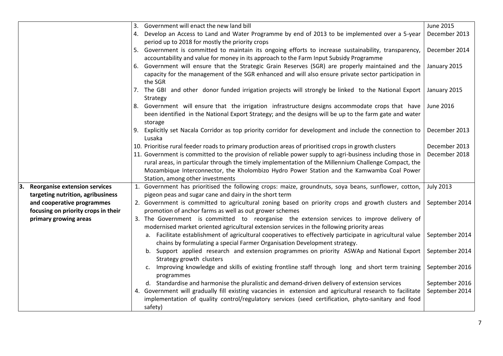|                                      | Government will enact the new land bill<br>3.                                                                     |                  |
|--------------------------------------|-------------------------------------------------------------------------------------------------------------------|------------------|
|                                      | Develop an Access to Land and Water Programme by end of 2013 to be implemented over a 5-year<br>4.                | December 2013    |
|                                      | period up to 2018 for mostly the priority crops                                                                   |                  |
|                                      | 5. Government is committed to maintain its ongoing efforts to increase sustainability, transparency,              | December 2014    |
|                                      | accountability and value for money in its approach to the Farm Input Subsidy Programme                            |                  |
|                                      | 6. Government will ensure that the Strategic Grain Reserves (SGR) are properly maintained and the                 | January 2015     |
|                                      | capacity for the management of the SGR enhanced and will also ensure private sector participation in              |                  |
|                                      | the SGR                                                                                                           |                  |
|                                      | 7. The GBI and other donor funded irrigation projects will strongly be linked to the National Export              | January 2015     |
|                                      | Strategy                                                                                                          |                  |
|                                      | 8. Government will ensure that the irrigation infrastructure designs accommodate crops that have                  | June 2016        |
|                                      | been identified in the National Export Strategy; and the designs will be up to the farm gate and water<br>storage |                  |
|                                      | Explicitly set Nacala Corridor as top priority corridor for development and include the connection to             | December 2013    |
|                                      | Lusaka                                                                                                            |                  |
|                                      | 10. Prioritise rural feeder roads to primary production areas of prioritised crops in growth clusters             | December 2013    |
|                                      | 11. Government is committed to the provision of reliable power supply to agri-business including those in         | December 2018    |
|                                      | rural areas, in particular through the timely implementation of the Millennium Challenge Compact, the             |                  |
|                                      | Mozambique Interconnector, the Kholombizo Hydro Power Station and the Kamwamba Coal Power                         |                  |
|                                      | Station, among other investments                                                                                  |                  |
| <b>Reorganise extension services</b> | 1. Government has prioritised the following crops: maize, groundnuts, soya beans, sunflower, cotton,              | <b>July 2013</b> |
| targeting nutrition, agribusiness    | pigeon peas and sugar cane and dairy in the short term                                                            |                  |
| and cooperative programmes           | 2. Government is committed to agricultural zoning based on priority crops and growth clusters and                 | September 2014   |
| focusing on priority crops in their  | promotion of anchor farms as well as out grower schemes                                                           |                  |
| primary growing areas                | 3. The Government is committed to reorganise the extension services to improve delivery of                        |                  |
|                                      | modernised market oriented agricultural extension services in the following priority areas                        |                  |
|                                      | a. Facilitate establishment of agricultural cooperatives to effectively participate in agricultural value         | September 2014   |
|                                      | chains by formulating a special Farmer Organisation Development strategy.                                         |                  |
|                                      | b. Support applied research and extension programmes on priority ASWAp and National Export                        | September 2014   |
|                                      | Strategy growth clusters                                                                                          |                  |
|                                      | Improving knowledge and skills of existing frontline staff through long and short term training<br>programmes     | September 2016   |
|                                      | d. Standardise and harmonise the pluralistic and demand-driven delivery of extension services                     | September 2016   |
|                                      | 4. Government will gradually fill existing vacancies in extension and agricultural research to facilitate         | September 2014   |
|                                      | implementation of quality control/regulatory services (seed certification, phyto-sanitary and food                |                  |
|                                      | safety)                                                                                                           |                  |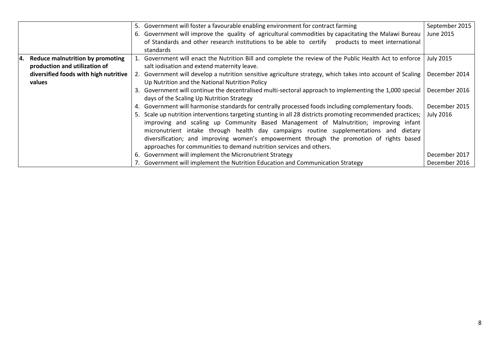|                                       |    | 5. Government will foster a favourable enabling environment for contract farming                            | September 2015   |
|---------------------------------------|----|-------------------------------------------------------------------------------------------------------------|------------------|
|                                       |    | 6. Government will improve the quality of agricultural commodities by capacitating the Malawi Bureau        | June 2015        |
|                                       |    | of Standards and other research institutions to be able to certify products to meet international           |                  |
|                                       |    | standards                                                                                                   |                  |
| 4. Reduce malnutrition by promoting   |    | 1. Government will enact the Nutrition Bill and complete the review of the Public Health Act to enforce     | <b>July 2015</b> |
| production and utilization of         |    | salt iodisation and extend maternity leave.                                                                 |                  |
| diversified foods with high nutritive |    | 2. Government will develop a nutrition sensitive agriculture strategy, which takes into account of Scaling  | December 2014    |
| values                                |    | Up Nutrition and the National Nutrition Policy                                                              |                  |
|                                       |    | 3. Government will continue the decentralised multi-sectoral approach to implementing the 1,000 special     | December 2016    |
|                                       |    | days of the Scaling Up Nutrition Strategy                                                                   |                  |
|                                       |    | 4. Government will harmonise standards for centrally processed foods including complementary foods.         | December 2015    |
|                                       |    | 5. Scale up nutrition interventions targeting stunting in all 28 districts promoting recommended practices; | <b>July 2016</b> |
|                                       |    | improving and scaling up Community Based Management of Malnutrition; improving infant                       |                  |
|                                       |    | micronutrient intake through health day campaigns routine supplementations and dietary                      |                  |
|                                       |    | diversification; and improving women's empowerment through the promotion of rights based                    |                  |
|                                       |    | approaches for communities to demand nutrition services and others.                                         |                  |
|                                       | 6. | Government will implement the Micronutrient Strategy                                                        | December 2017    |
|                                       |    | 7. Government will implement the Nutrition Education and Communication Strategy                             | December 2016    |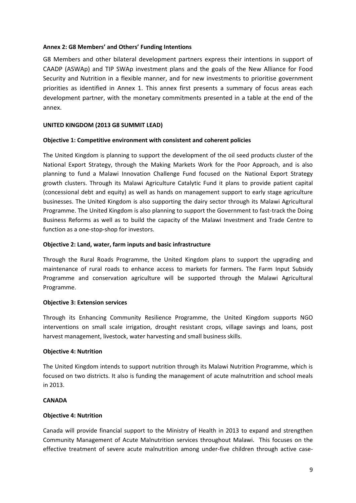### **Annex 2: G8 Members' and Others' Funding Intentions**

G8 Members and other bilateral development partners express their intentions in support of CAADP (ASWAp) and TIP SWAp investment plans and the goals of the New Alliance for Food Security and Nutrition in a flexible manner, and for new investments to prioritise government priorities as identified in Annex 1. This annex first presents a summary of focus areas each development partner, with the monetary commitments presented in a table at the end of the annex.

### **UNITED KINGDOM (2013 G8 SUMMIT LEAD)**

### **Objective 1: Competitive environment with consistent and coherent policies**

The United Kingdom is planning to support the development of the oil seed products cluster of the National Export Strategy, through the Making Markets Work for the Poor Approach, and is also planning to fund a Malawi Innovation Challenge Fund focused on the National Export Strategy growth clusters. Through its Malawi Agriculture Catalytic Fund it plans to provide patient capital (concessional debt and equity) as well as hands on management support to early stage agriculture businesses. The United Kingdom is also supporting the dairy sector through its Malawi Agricultural Programme. The United Kingdom is also planning to support the Government to fast-track the Doing Business Reforms as well as to build the capacity of the Malawi Investment and Trade Centre to function as a one-stop-shop for investors.

### **Objective 2: Land, water, farm inputs and basic infrastructure**

Through the Rural Roads Programme, the United Kingdom plans to support the upgrading and maintenance of rural roads to enhance access to markets for farmers. The Farm Input Subsidy Programme and conservation agriculture will be supported through the Malawi Agricultural Programme.

### **Objective 3: Extension services**

Through its Enhancing Community Resilience Programme, the United Kingdom supports NGO interventions on small scale irrigation, drought resistant crops, village savings and loans, post harvest management, livestock, water harvesting and small business skills.

### **Objective 4: Nutrition**

The United Kingdom intends to support nutrition through its Malawi Nutrition Programme, which is focused on two districts. It also is funding the management of acute malnutrition and school meals in 2013.

### **CANADA**

# **Objective 4: Nutrition**

Canada will provide financial support to the Ministry of Health in 2013 to expand and strengthen Community Management of Acute Malnutrition services throughout Malawi. This focuses on the effective treatment of severe acute malnutrition among under-five children through active case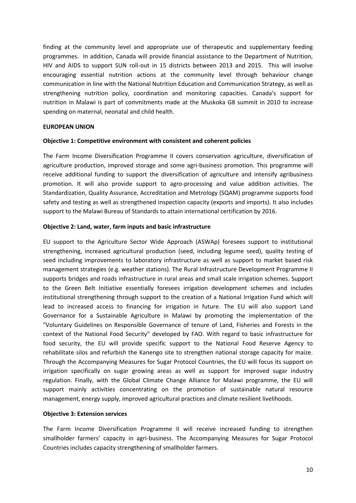finding at the community level and appropriate use of therapeutic and supplementary feeding programmes. In addition, Canada will provide financial assistance to the Department of Nutrition, HIV and AIDS to support SUN roll-out in 15 districts between 2013 and 2015. This will involve encouraging essential nutrition actions at the community level through behaviour change communication in line with the National Nutrition Education and Communication Strategy, as well as strengthening nutrition policy, coordination and monitoring capacities. Canada's support for nutrition in Malawi is part of commitments made at the Muskoka G8 summit in 2010 to increase spending on maternal, neonatal and child health.

#### **EUROPEAN UNION**

#### **Objective 1: Competitive environment with consistent and coherent policies**

The Farm Income Diversification Programme II covers conservation agriculture, diversification of agriculture production, improved storage and some agri-business promotion. This programme will receive additional funding to support the diversification of agriculture and intensify agribusiness promotion. It will also provide support to agro-processing and value addition activities. The Standardization, Quality Assurance, Accreditation and Metrology (SQAM) programme supports food safety and testing as well as strengthened inspection capacity (exports and imports). It also includes support to the Malawi Bureau of Standards to attain international certification by 2016.

#### **Objective 2: Land, water, farm inputs and basic infrastructure**

EU support to the Agriculture Sector Wide Approach (ASWAp) foresees support to institutional strengthening, increased agricultural production (seed, including legume seed), quality testing of seed including improvements to laboratory infrastructure as well as support to market based risk management strategies (e.g. weather stations). The Rural Infrastructure Development Programme II supports bridges and roads infrastructure in rural areas and small scale irrigation schemes. Support to the Green Belt Initiative essentially foresees irrigation development schemes and includes institutional strengthening through support to the creation of a National Irrigation Fund which will lead to increased access to financing for irrigation in future. The EU will also support Land Governance for a Sustainable Agriculture in Malawi by promoting the implementation of the "Voluntary Guidelines on Responsible Governance of tenure of Land, Fisheries and Forests in the context of the National Food Security" developed by FAO. With regard to basic infrastructure for food security, the EU will provide specific support to the National Food Reserve Agency to rehabilitate silos and refurbish the Kanengo site to strengthen national storage capacity for maize. Through the Accompanying Measures for Sugar Protocol Countries, the EU will focus its support on irrigation specifically on sugar growing areas as well as support for improved sugar industry regulation. Finally, with the Global Climate Change Alliance for Malawi programme, the EU will support mainly activities concentrating on the promotion of sustainable natural resource management, energy supply, improved agricultural practices and climate resilient livelihoods.

#### **Objective 3: Extension services**

The Farm Income Diversification Programme II will receive increased funding to strengthen smallholder farmers' capacity in agri-business. The Accompanying Measures for Sugar Protocol Countries includes capacity strengthening of smallholder farmers.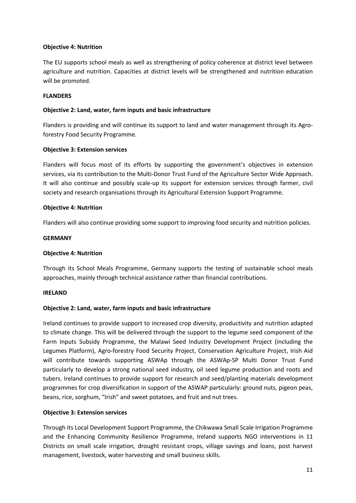### **Objective 4: Nutrition**

The EU supports school meals as well as strengthening of policy coherence at district level between agriculture and nutrition. Capacities at district levels will be strengthened and nutrition education will be promoted.

### **FLANDERS**

### **Objective 2: Land, water, farm inputs and basic infrastructure**

Flanders is providing and will continue its support to land and water management through its Agroforestry Food Security Programme.

### **Objective 3: Extension services**

Flanders will focus most of its efforts by supporting the government's objectives in extension services, via its contribution to the Multi-Donor Trust Fund of the Agriculture Sector Wide Approach. It will also continue and possibly scale-up its support for extension services through farmer, civil society and research organisations through its Agricultural Extension Support Programme.

### **Objective 4: Nutrition**

Flanders will also continue providing some support to improving food security and nutrition policies.

### **GERMANY**

### **Objective 4: Nutrition**

Through its School Meals Programme, Germany supports the testing of sustainable school meals approaches, mainly through technical assistance rather than financial contributions.

### **IRELAND**

### **Objective 2: Land, water, farm inputs and basic infrastructure**

Ireland continues to provide support to increased crop diversity, productivity and nutrition adapted to climate change. This will be delivered through the support to the legume seed component of the Farm Inputs Subsidy Programme, the Malawi Seed Industry Development Project (including the Legumes Platform), Agro-forestry Food Security Project, Conservation Agriculture Project, Irish Aid will contribute towards supporting ASWAp through the ASWAp-SP Multi Donor Trust Fund particularly to develop a strong national seed industry, oil seed legume production and roots and tubers. Ireland continues to provide support for research and seed/planting materials development programmes for crop diversification in support of the ASWAP particularly: ground nuts, pigeon peas, beans, rice, sorghum, "Irish" and sweet potatoes, and fruit and nut trees.

### **Objective 3: Extension services**

Through its Local Development Support Programme, the Chikwawa Small Scale Irrigation Programme and the Enhancing Community Resilience Programme, Ireland supports NGO interventions in 11 Districts on small scale irrigation, drought resistant crops, village savings and loans, post harvest management, livestock, water harvesting and small business skills.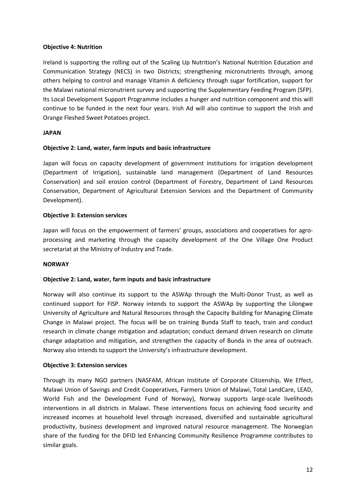### **Objective 4: Nutrition**

Ireland is supporting the rolling out of the Scaling Up Nutrition's National Nutrition Education and Communication Strategy (NECS) in two Districts; strengthening micronutrients through, among others helping to control and manage Vitamin A deficiency through sugar fortification, support for the Malawi national micronutrient survey and supporting the Supplementary Feeding Program (SFP). Its Local Development Support Programme includes a hunger and nutrition component and this will continue to be funded in the next four years. Irish Ad will also continue to support the Irish and Orange Fleshed Sweet Potatoes project.

### **JAPAN**

### **Objective 2: Land, water, farm inputs and basic infrastructure**

Japan will focus on capacity development of government institutions for irrigation development (Department of Irrigation), sustainable land management (Department of Land Resources Conservation) and soil erosion control (Department of Forestry, Department of Land Resources Conservation, Department of Agricultural Extension Services and the Department of Community Development).

### **Objective 3: Extension services**

Japan will focus on the empowerment of farmers' groups, associations and cooperatives for agroprocessing and marketing through the capacity development of the One Village One Product secretariat at the Ministry of Industry and Trade.

### **NORWAY**

# **Objective 2: Land, water, farm inputs and basic infrastructure**

Norway will also continue its support to the ASWAp through the Multi-Donor Trust, as well as continued support for FISP. Norway intends to support the ASWAp by supporting the Lilongwe University of Agriculture and Natural Resources through the Capacity Building for Managing Climate Change in Malawi project. The focus will be on training Bunda Staff to teach, train and conduct research in climate change mitigation and adaptation; conduct demand driven research on climate change adaptation and mitigation, and strengthen the capacity of Bunda in the area of outreach. Norway also intends to support the University's infrastructure development.

### **Objective 3: Extension services**

Through its many NGO partners (NASFAM, African Institute of Corporate Citizenship, We Effect, Malawi Union of Savings and Credit Cooperatives, Farmers Union of Malawi, Total LandCare, LEAD, World Fish and the Development Fund of Norway), Norway supports large-scale livelihoods interventions in all districts in Malawi. These interventions focus on achieving food security and increased incomes at household level through increased, diversified and sustainable agricultural productivity, business development and improved natural resource management. The Norwegian share of the funding for the DFID led Enhancing Community Resilience Programme contributes to similar goals.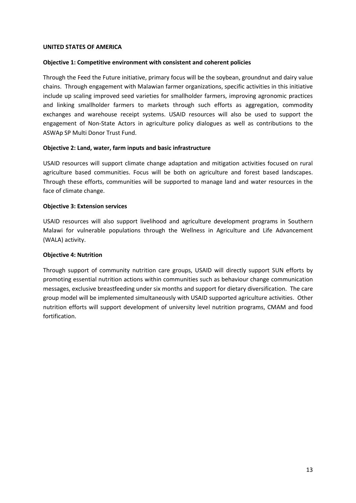#### **UNITED STATES OF AMERICA**

#### **Objective 1: Competitive environment with consistent and coherent policies**

Through the Feed the Future initiative, primary focus will be the soybean, groundnut and dairy value chains. Through engagement with Malawian farmer organizations, specific activities in this initiative include up scaling improved seed varieties for smallholder farmers, improving agronomic practices and linking smallholder farmers to markets through such efforts as aggregation, commodity exchanges and warehouse receipt systems. USAID resources will also be used to support the engagement of Non-State Actors in agriculture policy dialogues as well as contributions to the ASWAp SP Multi Donor Trust Fund.

### **Objective 2: Land, water, farm inputs and basic infrastructure**

USAID resources will support climate change adaptation and mitigation activities focused on rural agriculture based communities. Focus will be both on agriculture and forest based landscapes. Through these efforts, communities will be supported to manage land and water resources in the face of climate change.

### **Objective 3: Extension services**

USAID resources will also support livelihood and agriculture development programs in Southern Malawi for vulnerable populations through the Wellness in Agriculture and Life Advancement (WALA) activity.

### **Objective 4: Nutrition**

Through support of community nutrition care groups, USAID will directly support SUN efforts by promoting essential nutrition actions within communities such as behaviour change communication messages, exclusive breastfeeding under six months and support for dietary diversification. The care group model will be implemented simultaneously with USAID supported agriculture activities. Other nutrition efforts will support development of university level nutrition programs, CMAM and food fortification.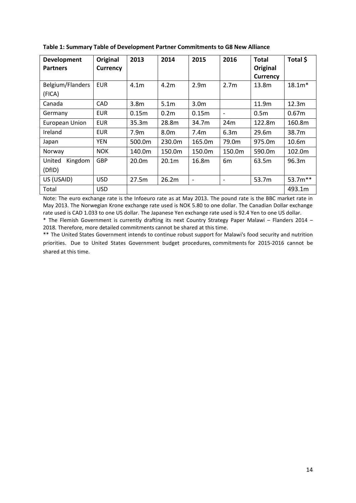| <b>Development</b><br><b>Partners</b> | Original<br><b>Currency</b> | 2013              | 2014              | 2015                     | 2016                         | <b>Total</b><br>Original<br><b>Currency</b> | Total \$          |
|---------------------------------------|-----------------------------|-------------------|-------------------|--------------------------|------------------------------|---------------------------------------------|-------------------|
| Belgium/Flanders                      | <b>EUR</b>                  | 4.1 <sub>m</sub>  | 4.2 <sub>m</sub>  | 2.9 <sub>m</sub>         | 2.7 <sub>m</sub>             | 13.8m                                       | $18.1m*$          |
| (FICA)                                |                             |                   |                   |                          |                              |                                             |                   |
| Canada                                | CAD                         | 3.8 <sub>m</sub>  | 5.1 <sub>m</sub>  | 3.0 <sub>m</sub>         |                              | 11.9m                                       | 12.3m             |
| Germany                               | <b>EUR</b>                  | 0.15m             | 0.2 <sub>m</sub>  | 0.15m                    |                              | 0.5 <sub>m</sub>                            | 0.67 <sub>m</sub> |
| <b>European Union</b>                 | <b>EUR</b>                  | 35.3m             | 28.8m             | 34.7m                    | 24m                          | 122.8m                                      | 160.8m            |
| Ireland                               | <b>EUR</b>                  | 7.9 <sub>m</sub>  | 8.0 <sub>m</sub>  | 7.4m                     | 6.3m                         | 29.6m                                       | 38.7m             |
| Japan                                 | <b>YEN</b>                  | 500.0m            | 230.0m            | 165.0m                   | 79.0m                        | 975.0m                                      | 10.6 <sub>m</sub> |
| Norway                                | <b>NOK</b>                  | 140.0m            | 150.0m            | 150.0m                   | 150.0m                       | 590.0m                                      | 102.0m            |
| Kingdom<br>United                     | <b>GBP</b>                  | 20.0 <sub>m</sub> | 20.1 <sub>m</sub> | 16.8m                    | 6 <sub>m</sub>               | 63.5m                                       | 96.3m             |
| (DfID)                                |                             |                   |                   |                          |                              |                                             |                   |
| US (USAID)                            | <b>USD</b>                  | 27.5m             | 26.2m             | $\overline{\phantom{a}}$ | $\qquad \qquad \blacksquare$ | 53.7m                                       | 53.7m**           |
| Total                                 | <b>USD</b>                  |                   |                   |                          |                              |                                             | 493.1m            |

|  |  | Table 1: Summary Table of Development Partner Commitments to G8 New Alliance |  |
|--|--|------------------------------------------------------------------------------|--|
|--|--|------------------------------------------------------------------------------|--|

Note: The euro exchange rate is the Infoeuro rate as at May 2013. The pound rate is the BBC market rate in May 2013. The Norwegian Krone exchange rate used is NOK 5.80 to one dollar. The Canadian Dollar exchange rate used is CAD 1.033 to one US dollar. The Japanese Yen exchange rate used is 92.4 Yen to one US dollar. \* The Flemish Government is currently drafting its next Country Strategy Paper Malawi – Flanders 2014 –

2018. Therefore, more detailed commitments cannot be shared at this time.

\*\* The United States Government intends to continue robust support for Malawi's food security and nutrition priorities. Due to United States Government budget procedures, commitments for 2015-2016 cannot be shared at this time.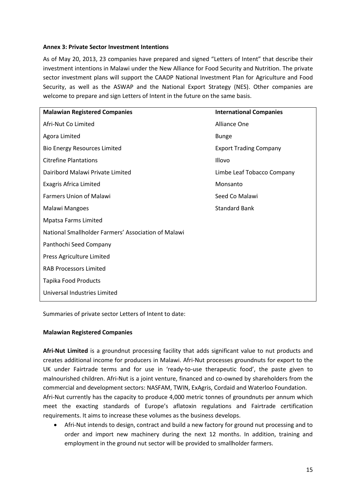### **Annex 3: Private Sector Investment Intentions**

As of May 20, 2013, 23 companies have prepared and signed "Letters of Intent" that describe their investment intentions in Malawi under the New Alliance for Food Security and Nutrition. The private sector investment plans will support the CAADP National Investment Plan for Agriculture and Food Security, as well as the ASWAP and the National Export Strategy (NES). Other companies are welcome to prepare and sign Letters of Intent in the future on the same basis.

| <b>Malawian Registered Companies</b>                | <b>International Companies</b> |  |  |  |  |
|-----------------------------------------------------|--------------------------------|--|--|--|--|
| Afri-Nut Co Limited                                 | <b>Alliance One</b>            |  |  |  |  |
| Agora Limited                                       | <b>Bunge</b>                   |  |  |  |  |
| <b>Bio Energy Resources Limited</b>                 | <b>Export Trading Company</b>  |  |  |  |  |
| <b>Citrefine Plantations</b>                        | Illovo                         |  |  |  |  |
| Dairibord Malawi Private Limited                    | Limbe Leaf Tobacco Company     |  |  |  |  |
| <b>Exagris Africa Limited</b>                       | Monsanto                       |  |  |  |  |
| <b>Farmers Union of Malawi</b>                      | Seed Co Malawi                 |  |  |  |  |
| Malawi Mangoes                                      | <b>Standard Bank</b>           |  |  |  |  |
| <b>Mpatsa Farms Limited</b>                         |                                |  |  |  |  |
| National Smallholder Farmers' Association of Malawi |                                |  |  |  |  |
| Panthochi Seed Company                              |                                |  |  |  |  |
| Press Agriculture Limited                           |                                |  |  |  |  |
| <b>RAB Processors Limited</b>                       |                                |  |  |  |  |
| Tapika Food Products                                |                                |  |  |  |  |
| Universal Industries Limited                        |                                |  |  |  |  |

Summaries of private sector Letters of Intent to date:

### **Malawian Registered Companies**

**Afri-Nut Limited** is a groundnut processing facility that adds significant value to nut products and creates additional income for producers in Malawi. Afri-Nut processes groundnuts for export to the UK under Fairtrade terms and for use in 'ready-to-use therapeutic food', the paste given to malnourished children. Afri-Nut is a joint venture, financed and co-owned by shareholders from the commercial and development sectors: NASFAM, TWIN, ExAgris, Cordaid and Waterloo Foundation. Afri-Nut currently has the capacity to produce 4,000 metric tonnes of groundnuts per annum which meet the exacting standards of Europe's aflatoxin regulations and Fairtrade certification requirements. It aims to increase these volumes as the business develops.

 Afri-Nut intends to design, contract and build a new factory for ground nut processing and to order and import new machinery during the next 12 months. In addition, training and employment in the ground nut sector will be provided to smallholder farmers.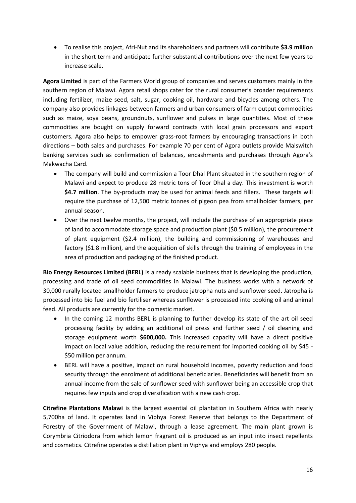To realise this project, Afri-Nut and its shareholders and partners will contribute **\$3.9 million** in the short term and anticipate further substantial contributions over the next few years to increase scale.

**Agora Limited** is part of the Farmers World group of companies and serves customers mainly in the southern region of Malawi. Agora retail shops cater for the rural consumer's broader requirements including fertilizer, maize seed, salt, sugar, cooking oil, hardware and bicycles among others. The company also provides linkages between farmers and urban consumers of farm output commodities such as maize, soya beans, groundnuts, sunflower and pulses in large quantities. Most of these commodities are bought on supply forward contracts with local grain processors and export customers. Agora also helps to empower grass-root farmers by encouraging transactions in both directions – both sales and purchases. For example 70 per cent of Agora outlets provide Malswitch banking services such as confirmation of balances, encashments and purchases through Agora's Makwacha Card.

- The company will build and commission a Toor Dhal Plant situated in the southern region of Malawi and expect to produce 28 metric tons of Toor Dhal a day. This investment is worth **\$4.7 million**. The by-products may be used for animal feeds and fillers. These targets will require the purchase of 12,500 metric tonnes of pigeon pea from smallholder farmers, per annual season.
- Over the next twelve months, the project, will include the purchase of an appropriate piece of land to accommodate storage space and production plant (\$0.5 million), the procurement of plant equipment (\$2.4 million), the building and commissioning of warehouses and factory (\$1.8 million), and the acquisition of skills through the training of employees in the area of production and packaging of the finished product.

**Bio Energy Resources Limited (BERL)** is a ready scalable business that is developing the production, processing and trade of oil seed commodities in Malawi. The business works with a network of 30,000 rurally located smallholder farmers to produce jatropha nuts and sunflower seed. Jatropha is processed into bio fuel and bio fertiliser whereas sunflower is processed into cooking oil and animal feed. All products are currently for the domestic market.

- In the coming 12 months BERL is planning to further develop its state of the art oil seed processing facility by adding an additional oil press and further seed / oil cleaning and storage equipment worth **\$600,000.** This increased capacity will have a direct positive impact on local value addition, reducing the requirement for imported cooking oil by \$45 - \$50 million per annum.
- BERL will have a positive, impact on rural household incomes, poverty reduction and food security through the enrolment of additional beneficiaries. Beneficiaries will benefit from an annual income from the sale of sunflower seed with sunflower being an accessible crop that requires few inputs and crop diversification with a new cash crop.

**Citrefine Plantations Malawi** is the largest essential oil plantation in Southern Africa with nearly 5,700ha of land. It operates land in Viphya Forest Reserve that belongs to the Department of Forestry of the Government of Malawi, through a lease agreement. The main plant grown is Corymbria Citriodora from which lemon fragrant oil is produced as an input into insect repellents and cosmetics. Citrefine operates a distillation plant in Viphya and employs 280 people.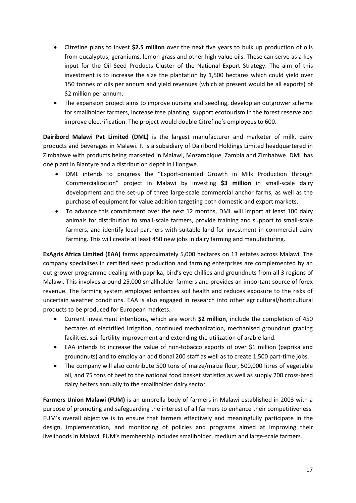- Citrefine plans to invest **\$2.5 million** over the next five years to bulk up production of oils from eucalyptus, geraniums, lemon grass and other high value oils. These can serve as a key input for the Oil Seed Products Cluster of the National Export Strategy. The aim of this investment is to increase the size the plantation by 1,500 hectares which could yield over 150 tonnes of oils per annum and yield revenues (which at present would be all exports) of \$2 million per annum.
- The expansion project aims to improve nursing and seedling, develop an outgrower scheme for smallholder farmers, increase tree planting, support ecotourism in the forest reserve and improve electrification. The project would double Citrefine's employees to 600.

**Dairibord Malawi Pvt Limited (DML)** is the largest manufacturer and marketer of milk, dairy products and beverages in Malawi. It is a subsidiary of Dairibord Holdings Limited headquartered in Zimbabwe with products being marketed in Malawi, Mozambique, Zambia and Zimbabwe. DML has one plant in Blantyre and a distribution depot in Lilongwe.

- DML intends to progress the "Export-oriented Growth in Milk Production through Commercialization" project in Malawi by investing **\$3 million** in small-scale dairy development and the set-up of three large-scale commercial anchor farms, as well as the purchase of equipment for value addition targeting both domestic and export markets.
- To advance this commitment over the next 12 months, DML will import at least 100 dairy animals for distribution to small-scale farmers, provide training and support to small-scale farmers, and identify local partners with suitable land for investment in commercial dairy farming. This will create at least 450 new jobs in dairy farming and manufacturing.

**ExAgris Africa Limited (EAA)** farms approximately 5,000 hectares on 13 estates across Malawi. The company specialises in certified seed production and farming enterprises are complemented by an out-grower programme dealing with paprika, bird's eye chillies and groundnuts from all 3 regions of Malawi. This involves around 25,000 smallholder farmers and provides an important source of forex revenue. The farming system employed enhances soil health and reduces exposure to the risks of uncertain weather conditions. EAA is also engaged in research into other agricultural/horticultural products to be produced for European markets.

- Current investment intentions, which are worth **\$2 million**, include the completion of 450 hectares of electrified irrigation, continued mechanization, mechanised groundnut grading facilities, soil fertility improvement and extending the utilization of arable land.
- EAA intends to increase the value of non-tobacco exports of over \$1 million (paprika and groundnuts) and to employ an additional 200 staff as well as to create 1,500 part-time jobs.
- The company will also contribute 500 tons of maize/maize flour, 500,000 litres of vegetable oil, and 75 tons of beef to the national food basket statistics as well as supply 200 cross-bred dairy heifers annually to the smallholder dairy sector.

**Farmers Union Malawi (FUM)** is an umbrella body of farmers in Malawi established in 2003 with a purpose of promoting and safeguarding the interest of all farmers to enhance their competitiveness. FUM's overall objective is to ensure that farmers effectively and meaningfully participate in the design, implementation, and monitoring of policies and programs aimed at improving their livelihoods in Malawi. FUM's membership includes smallholder, medium and large-scale farmers.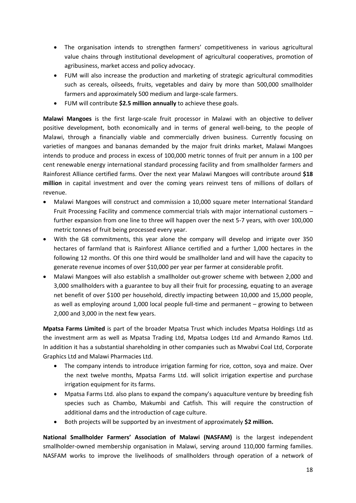- The organisation intends to strengthen farmers' competitiveness in various agricultural value chains through institutional development of agricultural cooperatives, promotion of agribusiness, market access and policy advocacy.
- FUM will also increase the production and marketing of strategic agricultural commodities such as cereals, oilseeds, fruits, vegetables and dairy by more than 500,000 smallholder farmers and approximately 500 medium and large-scale farmers.
- FUM will contribute **\$2.5 million annually** to achieve these goals.

**Malawi Mangoes** is the first large-scale fruit processor in Malawi with an objective to deliver positive development, both economically and in terms of general well-being, to the people of Malawi, through a financially viable and commercially driven business. Currently focusing on varieties of mangoes and bananas demanded by the major fruit drinks market, Malawi Mangoes intends to produce and process in excess of 100,000 metric tonnes of fruit per annum in a 100 per cent renewable energy international standard processing facility and from smallholder farmers and Rainforest Alliance certified farms. Over the next year Malawi Mangoes will contribute around **\$18 million** in capital investment and over the coming years reinvest tens of millions of dollars of revenue.

- Malawi Mangoes will construct and commission a 10,000 square meter International Standard Fruit Processing Facility and commence commercial trials with major international customers – further expansion from one line to three will happen over the next 5-7 years, with over 100,000 metric tonnes of fruit being processed every year.
- With the G8 commitments, this year alone the company will develop and irrigate over 350 hectares of farmland that is Rainforest Alliance certified and a further 1,000 hectares in the following 12 months. Of this one third would be smallholder land and will have the capacity to generate revenue incomes of over \$10,000 per year per farmer at considerable profit.
- Malawi Mangoes will also establish a smallholder out-grower scheme with between 2,000 and 3,000 smallholders with a guarantee to buy all their fruit for processing, equating to an average net benefit of over \$100 per household, directly impacting between 10,000 and 15,000 people, as well as employing around 1,000 local people full-time and permanent – growing to between 2,000 and 3,000 in the next few years.

**Mpatsa Farms Limited** is part of the broader Mpatsa Trust which includes Mpatsa Holdings Ltd as the investment arm as well as Mpatsa Trading Ltd, Mpatsa Lodges Ltd and Armando Ramos Ltd. In addition it has a substantial shareholding in other companies such as Mwabvi Coal Ltd, Corporate Graphics Ltd and Malawi Pharmacies Ltd.

- The company intends to introduce irrigation farming for rice, cotton, soya and maize. Over the next twelve months, Mpatsa Farms Ltd. will solicit irrigation expertise and purchase irrigation equipment for its farms.
- Mpatsa Farms Ltd. also plans to expand the company's aquaculture venture by breeding fish species such as Chambo, Makumbi and Catfish. This will require the construction of additional dams and the introduction of cage culture.
- Both projects will be supported by an investment of approximately **\$2 million.**

**National Smallholder Farmers' Association of Malawi (NASFAM)** is the largest independent smallholder-owned membership organisation in Malawi, serving around 110,000 farming families. NASFAM works to improve the livelihoods of smallholders through operation of a network of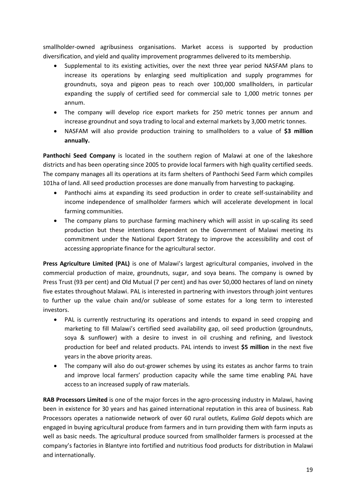smallholder-owned agribusiness organisations. Market access is supported by production diversification, and yield and quality improvement programmes delivered to its membership.

- Supplemental to its existing activities, over the next three year period NASFAM plans to increase its operations by enlarging seed multiplication and supply programmes for groundnuts, soya and pigeon peas to reach over 100,000 smallholders, in particular expanding the supply of certified seed for commercial sale to 1,000 metric tonnes per annum.
- The company will develop rice export markets for 250 metric tonnes per annum and increase groundnut and soya trading to local and external markets by 3,000 metric tonnes.
- NASFAM will also provide production training to smallholders to a value of **\$3 million annually.**

**Panthochi Seed Company** is located in the southern region of Malawi at one of the lakeshore districts and has been operating since 2005 to provide local farmers with high quality certified seeds. The company manages all its operations at its farm shelters of Panthochi Seed Farm which compiles 101ha of land. All seed production processes are done manually from harvesting to packaging.

- Panthochi aims at expanding its seed production in order to create self-sustainability and income independence of smallholder farmers which will accelerate development in local farming communities.
- The company plans to purchase farming machinery which will assist in up-scaling its seed production but these intentions dependent on the Government of Malawi meeting its commitment under the National Export Strategy to improve the accessibility and cost of accessing appropriate finance for the agricultural sector.

**Press Agriculture Limited (PAL)** is one of Malawi's largest agricultural companies, involved in the commercial production of maize, groundnuts, sugar, and soya beans. The company is owned by Press Trust (93 per cent) and Old Mutual (7 per cent) and has over 50,000 hectares of land on ninety five estates throughout Malawi. PAL is interested in partnering with investors through joint ventures to further up the value chain and/or sublease of some estates for a long term to interested investors.

- PAL is currently restructuring its operations and intends to expand in seed cropping and marketing to fill Malawi's certified seed availability gap, oil seed production (groundnuts, soya & sunflower) with a desire to invest in oil crushing and refining, and livestock production for beef and related products. PAL intends to invest **\$5 million** in the next five years in the above priority areas.
- The company will also do out-grower schemes by using its estates as anchor farms to train and improve local farmers' production capacity while the same time enabling PAL have access to an increased supply of raw materials.

**RAB Processors Limited** is one of the major forces in the agro-processing industry in Malawi, having been in existence for 30 years and has gained international reputation in this area of business. Rab Processors operates a nationwide network of over 60 rural outlets, *Kulima Gold* depots which are engaged in buying agricultural produce from farmers and in turn providing them with farm inputs as well as basic needs. The agricultural produce sourced from smallholder farmers is processed at the company's factories in Blantyre into fortified and nutritious food products for distribution in Malawi and internationally.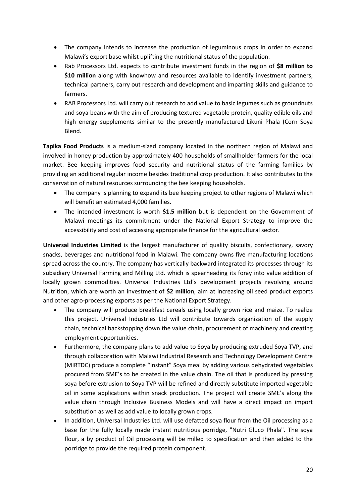- The company intends to increase the production of leguminous crops in order to expand Malawi's export base whilst uplifting the nutritional status of the population.
- Rab Processors Ltd. expects to contribute investment funds in the region of **\$8 million to \$10 million** along with knowhow and resources available to identify investment partners, technical partners, carry out research and development and imparting skills and guidance to farmers.
- RAB Processors Ltd. will carry out research to add value to basic legumes such as groundnuts and soya beans with the aim of producing textured vegetable protein, quality edible oils and high energy supplements similar to the presently manufactured Likuni Phala (Corn Soya Blend.

**Tapika Food Products** is a medium-sized company located in the northern region of Malawi and involved in honey production by approximately 400 households of smallholder farmers for the local market. Bee keeping improves food security and nutritional status of the farming families by providing an additional regular income besides traditional crop production. It also contributes to the conservation of natural resources surrounding the bee keeping households.

- The company is planning to expand its bee keeping project to other regions of Malawi which will benefit an estimated 4,000 families.
- The intended investment is worth **\$1.5 million** but is dependent on the Government of Malawi meetings its commitment under the National Export Strategy to improve the accessibility and cost of accessing appropriate finance for the agricultural sector.

**Universal Industries Limited** is the largest manufacturer of quality biscuits, confectionary, savory snacks, beverages and nutritional food in Malawi. The company owns five manufacturing locations spread across the country. The company has vertically backward integrated its processes through its subsidiary Universal Farming and Milling Ltd. which is spearheading its foray into value addition of locally grown commodities. Universal Industries Ltd's development projects revolving around Nutrition, which are worth an investment of **\$2 million**, aim at increasing oil seed product exports and other agro-processing exports as per the National Export Strategy.

- The company will produce breakfast cereals using locally grown rice and maize. To realize this project, Universal Industries Ltd will contribute towards organization of the supply chain, technical backstopping down the value chain, procurement of machinery and creating employment opportunities.
- Furthermore, the company plans to add value to Soya by producing extruded Soya TVP, and through collaboration with Malawi Industrial Research and Technology Development Centre (MIRTDC) produce a complete "Instant" Soya meal by adding various dehydrated vegetables procured from SME's to be created in the value chain. The oil that is produced by pressing soya before extrusion to Soya TVP will be refined and directly substitute imported vegetable oil in some applications within snack production. The project will create SME's along the value chain through Inclusive Business Models and will have a direct impact on import substitution as well as add value to locally grown crops.
- In addition, Universal Industries Ltd. will use defatted soya flour from the Oil processing as a base for the fully locally made instant nutritious porridge, "Nutri Gluco Phala". The soya flour, a by product of Oil processing will be milled to specification and then added to the porridge to provide the required protein component.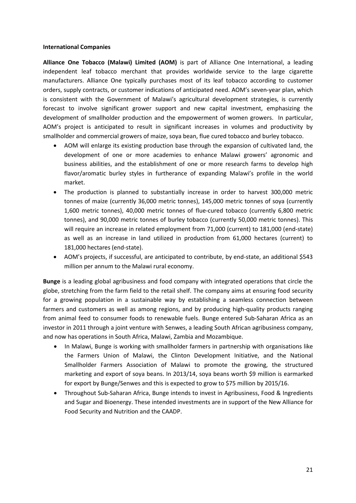#### **International Companies**

**Alliance One Tobacco (Malawi) Limited (AOM)** is part of Alliance One International, a leading independent leaf tobacco merchant that provides worldwide service to the large cigarette manufacturers. Alliance One typically purchases most of its leaf tobacco according to customer orders, supply contracts, or customer indications of anticipated need. AOM's seven-year plan, which is consistent with the Government of Malawi's agricultural development strategies, is currently forecast to involve significant grower support and new capital investment, emphasizing the development of smallholder production and the empowerment of women growers. In particular, AOM's project is anticipated to result in significant increases in volumes and productivity by smallholder and commercial growers of maize, soya bean, flue cured tobacco and burley tobacco.

- AOM will enlarge its existing production base through the expansion of cultivated land, the development of one or more academies to enhance Malawi growers' agronomic and business abilities, and the establishment of one or more research farms to develop high flavor/aromatic burley styles in furtherance of expanding Malawi's profile in the world market.
- The production is planned to substantially increase in order to harvest 300,000 metric tonnes of maize (currently 36,000 metric tonnes), 145,000 metric tonnes of soya (currently 1,600 metric tonnes), 40,000 metric tonnes of flue-cured tobacco (currently 6,800 metric tonnes), and 90,000 metric tonnes of burley tobacco (currently 50,000 metric tonnes). This will require an increase in related employment from 71,000 (current) to 181,000 (end-state) as well as an increase in land utilized in production from 61,000 hectares (current) to 181,000 hectares (end-state).
- AOM's projects, if successful, are anticipated to contribute, by end-state, an additional \$543 million per annum to the Malawi rural economy.

**Bunge** is a leading global agribusiness and food company with integrated operations that circle the globe, stretching from the farm field to the retail shelf. The company aims at ensuring food security for a growing population in a sustainable way by establishing a seamless connection between farmers and customers as well as among regions, and by producing high-quality products ranging from animal feed to consumer foods to renewable fuels. Bunge entered Sub-Saharan Africa as an investor in 2011 through a joint venture with Senwes, a leading South African agribusiness company, and now has operations in South Africa, Malawi, Zambia and Mozambique.

- In Malawi, Bunge is working with smallholder farmers in partnership with organisations like the Farmers Union of Malawi, the Clinton Development Initiative, and the National Smallholder Farmers Association of Malawi to promote the growing, the structured marketing and export of soya beans. In 2013/14, soya beans worth \$9 million is earmarked for export by Bunge/Senwes and this is expected to grow to \$75 million by 2015/16.
- Throughout Sub-Saharan Africa, Bunge intends to invest in Agribusiness, Food & Ingredients and Sugar and Bioenergy. These intended investments are in support of the New Alliance for Food Security and Nutrition and the CAADP.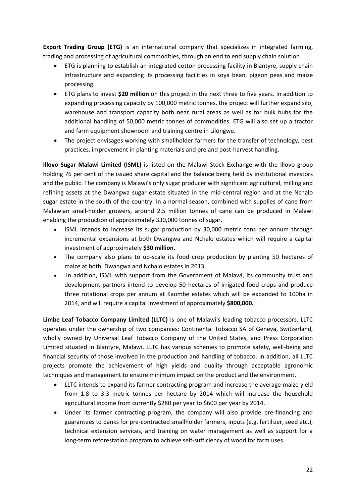**Export Trading Group (ETG)** is an international company that specializes in integrated farming, trading and processing of agricultural commodities, through an end to end supply chain solution.

- ETG is planning to establish an integrated cotton processing facility in Blantyre, supply chain infrastructure and expanding its processing facilities in soya bean, pigeon peas and maize processing.
- ETG plans to invest **\$20 million** on this project in the next three to five years. In addition to expanding processing capacity by 100,000 metric tonnes, the project will further expand silo, warehouse and transport capacity both near rural areas as well as for bulk hubs for the additional handling of 50,000 metric tonnes of commodities. ETG will also set up a tractor and farm equipment showroom and training centre in Lilongwe.
- The project envisages working with smallholder farmers for the transfer of technology, best practices, improvement in planting materials and pre and post-harvest handling.

**Illovo Sugar Malawi Limited (ISML)** is listed on the Malawi Stock Exchange with the Illovo group holding 76 per cent of the issued share capital and the balance being held by institutional investors and the public. The company is Malawi's only sugar producer with significant agricultural, milling and refining assets at the Dwangwa sugar estate situated in the mid-central region and at the Nchalo sugar estate in the south of the country. In a normal season, combined with supplies of cane from Malawian small-holder growers, around 2.5 million tonnes of cane can be produced in Malawi enabling the production of approximately 330,000 tonnes of sugar.

- ISML intends to increase its sugar production by 30,000 metric tons per annum through incremental expansions at both Dwangwa and Nchalo estates which will require a capital investment of approximately **\$30 million.**
- The company also plans to up-scale its food crop production by planting 50 hectares of maize at both, Dwangwa and Nchalo estates in 2013.
- In addition, ISML with support from the Government of Malawi, its community trust and development partners intend to develop 50 hectares of irrigated food crops and produce three rotational crops per annum at Kaombe estates which will be expanded to 100ha in 2014, and will require a capital investment of approximately **\$800,000.**

**Limbe Leaf Tobacco Company Limited (LLTC)** is one of Malawi's leading tobacco processors. LLTC operates under the ownership of two companies: Continental Tobacco SA of Geneva, Switzerland, wholly owned by Universal Leaf Tobacco Company of the United States, and Press Corporation Limited situated in Blantyre, Malawi. LLTC has various schemes to promote safety, well-being and financial security of those involved in the production and handling of tobacco. In addition, all LLTC projects promote the achievement of high yields and quality through acceptable agronomic techniques and management to ensure minimum impact on the product and the environment.

- LLTC intends to expand its farmer contracting program and increase the average maize yield from 1.8 to 3.3 metric tonnes per hectare by 2014 which will increase the household agricultural income from currently \$280 per year to \$600 per year by 2014.
- Under its farmer contracting program, the company will also provide pre-financing and guarantees to banks for pre-contracted smallholder farmers, inputs (e.g. fertilizer, seed etc.), technical extension services, and training on water management as well as support for a long-term reforestation program to achieve self-sufficiency of wood for farm uses.